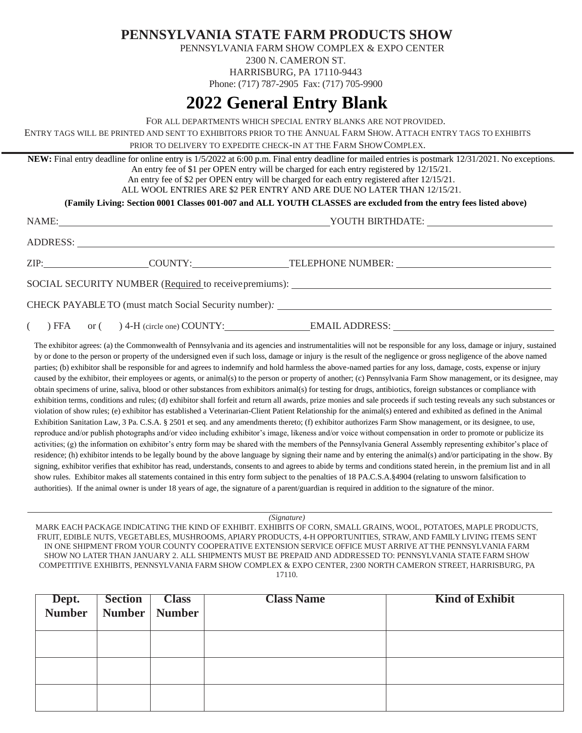**PENNSYLVANIA STATE FARM PRODUCTS SHOW**

PENNSYLVANIA FARM SHOW COMPLEX & EXPO CENTER

2300 N. CAMERON ST.

HARRISBURG, PA 17110-9443 Phone: (717) 787-2905 Fax: (717) 705-9900

## **2022 General Entry Blank**

FOR ALL DEPARTMENTS WHICH SPECIAL ENTRY BLANKS ARE NOT PROVIDED.

ENTRY TAGS WILL BE PRINTED AND SENT TO EXHIBITORS PRIOR TO THE ANNUAL FARM SHOW. ATTACH ENTRY TAGS TO EXHIBITS PRIOR TO DELIVERY TO EXPEDITE CHECK-IN AT THE FARM SHOWCOMPLEX.

**NEW:** Final entry deadline for online entry is 1/5/2022 at 6:00 p.m. Final entry deadline for mailed entries is postmark 12/31/2021. No exceptions. An entry fee of \$1 per OPEN entry will be charged for each entry registered by 12/15/21.

An entry fee of \$2 per OPEN entry will be charged for each entry registered after 12/15/21.

ALL WOOL ENTRIES ARE \$2 PER ENTRY AND ARE DUE NO LATER THAN 12/15/21.

**(Family Living: Section 0001 Classes 001-007 and ALL YOUTH CLASSES are excluded from the entry fees listed above)**

|                                                        |  | ZIP: COUNTY: COUNTY: TELEPHONE NUMBER: |  |  |  |
|--------------------------------------------------------|--|----------------------------------------|--|--|--|
| SOCIAL SECURITY NUMBER (Required to receive premiums): |  |                                        |  |  |  |
| CHECK PAYABLE TO (must match Social Security number):  |  |                                        |  |  |  |

( ) FFA or ( ) 4-H (circle one) COUNTY: EMAILADDRESS:

The exhibitor agrees: (a) the Commonwealth of Pennsylvania and its agencies and instrumentalities will not be responsible for any loss, damage or injury, sustained by or done to the person or property of the undersigned even if such loss, damage or injury is the result of the negligence or gross negligence of the above named parties; (b) exhibitor shall be responsible for and agrees to indemnify and hold harmless the above-named parties for any loss, damage, costs, expense or injury caused by the exhibitor, their employees or agents, or animal(s) to the person or property of another; (c) Pennsylvania Farm Show management, or its designee, may obtain specimens of urine, saliva, blood or other substances from exhibitors animal(s) for testing for drugs, antibiotics, foreign substances or compliance with exhibition terms, conditions and rules; (d) exhibitor shall forfeit and return all awards, prize monies and sale proceeds if such testing reveals any such substances or violation of show rules; (e) exhibitor has established a Veterinarian-Client Patient Relationship for the animal(s) entered and exhibited as defined in the Animal Exhibition Sanitation Law, 3 Pa. C.S.A. § 2501 et seq. and any amendments thereto; (f) exhibitor authorizes Farm Show management, or its designee, to use, reproduce and/or publish photographs and/or video including exhibitor's image, likeness and/or voice without compensation in order to promote or publicize its activities; (g) the information on exhibitor's entry form may be shared with the members of the Pennsylvania General Assembly representing exhibitor's place of residence; (h) exhibitor intends to be legally bound by the above language by signing their name and by entering the animal(s) and/or participating in the show. By signing, exhibitor verifies that exhibitor has read, understands, consents to and agrees to abide by terms and conditions stated herein, in the premium list and in all show rules. Exhibitor makes all statements contained in this entry form subject to the penalties of 18 PA.C.S.A.§4904 (relating to unsworn falsification to authorities). If the animal owner is under 18 years of age, the signature of a parent/guardian is required in addition to the signature of the minor.

*(Signature)*

MARK EACH PACKAGE INDICATING THE KIND OF EXHIBIT. EXHIBITS OF CORN, SMALL GRAINS, WOOL, POTATOES, MAPLE PRODUCTS, FRUIT, EDIBLE NUTS, VEGETABLES, MUSHROOMS, APIARY PRODUCTS, 4-H OPPORTUNITIES, STRAW,AND FAMILY LIVING ITEMS SENT IN ONE SHIPMENT FROM YOUR COUNTY COOPERATIVE EXTENSION SERVICE OFFICE MUST ARRIVE AT THE PENNSYLVANIA FARM SHOW NO LATER THAN JANUARY 2. ALL SHIPMENTS MUST BE PREPAID AND ADDRESSED TO: PENNSYLVANIA STATE FARM SHOW COMPETITIVE EXHIBITS, PENNSYLVANIA FARM SHOW COMPLEX & EXPO CENTER, 2300 NORTH CAMERON STREET, HARRISBURG, PA 17110.

| <b>Dept.</b> Section Class<br>Number Number Number | Section | <b>Class</b> | <b>Class Name</b> | <b>Kind of Exhibit</b> |
|----------------------------------------------------|---------|--------------|-------------------|------------------------|
|                                                    |         |              |                   |                        |
|                                                    |         |              |                   |                        |
|                                                    |         |              |                   |                        |